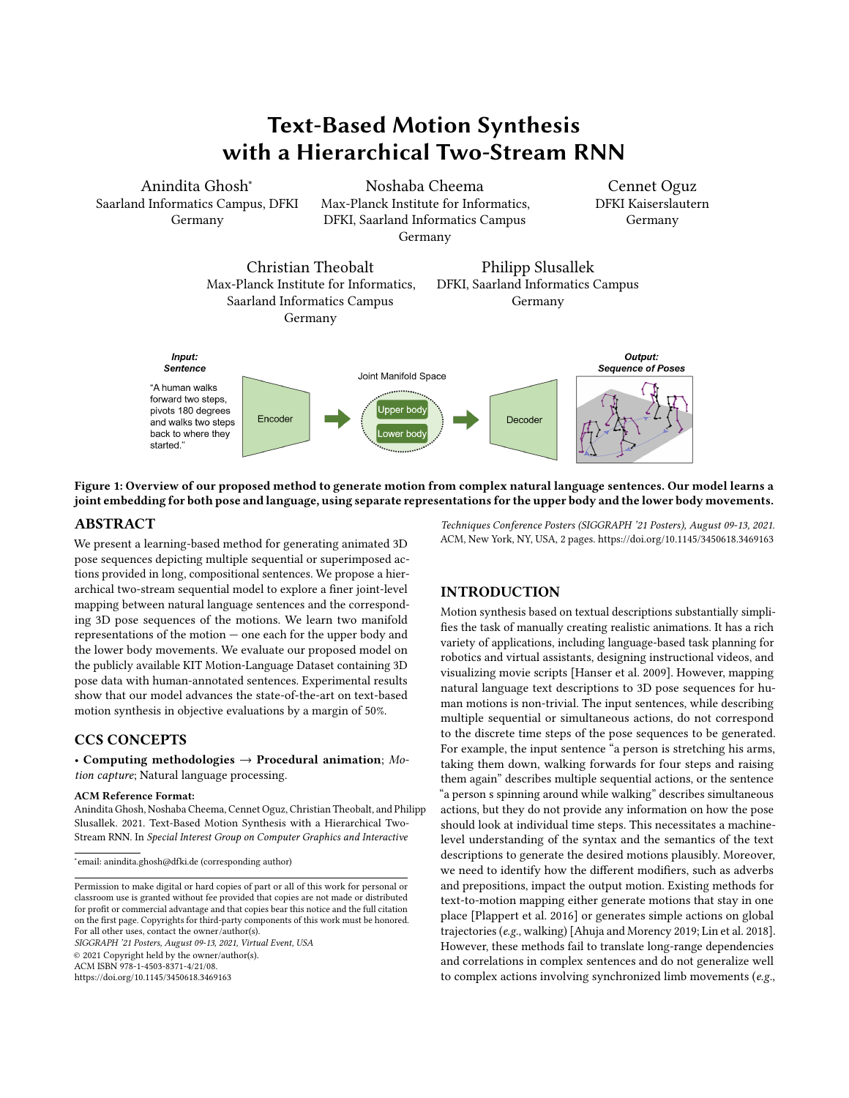# Text-Based Motion Synthesis with a Hierarchical Two-Stream RNN



<span id="page-0-0"></span>

Figure 1: Overview of our proposed method to generate motion from complex natural language sentences. Our model learns a joint embedding for both pose and language, using separate representations for the upper body and the lower body movements.

## ABSTRACT

We present a learning-based method for generating animated 3D pose sequences depicting multiple sequential or superimposed actions provided in long, compositional sentences. We propose a hierarchical two-stream sequential model to explore a finer joint-level mapping between natural language sentences and the corresponding 3D pose sequences of the motions. We learn two manifold representations of the motion — one each for the upper body and the lower body movements. We evaluate our proposed model on the publicly available KIT Motion-Language Dataset containing 3D pose data with human-annotated sentences. Experimental results show that our model advances the state-of-the-art on text-based motion synthesis in objective evaluations by a margin of 50%.

# CCS CONCEPTS

• Computing methodologies  $\rightarrow$  Procedural animation; Motion capture; Natural language processing.

#### ACM Reference Format:

Anindita Ghosh, Noshaba Cheema, Cennet Oguz, Christian Theobalt, and Philipp Slusallek. 2021. Text-Based Motion Synthesis with a Hierarchical Two-Stream RNN. In Special Interest Group on Computer Graphics and Interactive

SIGGRAPH '21 Posters, August 09-13, 2021, Virtual Event, USA © 2021 Copyright held by the owner/author(s). ACM ISBN 978-1-4503-8371-4/21/08. <https://doi.org/10.1145/3450618.3469163>

Techniques Conference Posters (SIGGRAPH '21 Posters), August 09-13, 2021. ACM, New York, NY, USA, [2](#page-1-0) pages.<https://doi.org/10.1145/3450618.3469163>

Cennet Oguz

Germany

### INTRODUCTION

Motion synthesis based on textual descriptions substantially simplifies the task of manually creating realistic animations. It has a rich variety of applications, including language-based task planning for robotics and virtual assistants, designing instructional videos, and visualizing movie scripts [\[Hanser et al.](#page-1-1) [2009\]](#page-1-1). However, mapping natural language text descriptions to 3D pose sequences for human motions is non-trivial. The input sentences, while describing multiple sequential or simultaneous actions, do not correspond to the discrete time steps of the pose sequences to be generated. For example, the input sentence "a person is stretching his arms, taking them down, walking forwards for four steps and raising them again" describes multiple sequential actions, or the sentence "a person s spinning around while walking" describes simultaneous actions, but they do not provide any information on how the pose should look at individual time steps. This necessitates a machinelevel understanding of the syntax and the semantics of the text descriptions to generate the desired motions plausibly. Moreover, we need to identify how the different modifiers, such as adverbs and prepositions, impact the output motion. Existing methods for text-to-motion mapping either generate motions that stay in one place [\[Plappert et al.](#page-1-2) [2016\]](#page-1-2) or generates simple actions on global trajectories (e.g., walking) [\[Ahuja and Morency 2019;](#page-1-3) [Lin et al.](#page-1-4) [2018\]](#page-1-4). However, these methods fail to translate long-range dependencies and correlations in complex sentences and do not generalize well to complex actions involving synchronized limb movements (e.g.,

<sup>∗</sup> email: anindita.ghosh@dfki.de (corresponding author)

Permission to make digital or hard copies of part or all of this work for personal or classroom use is granted without fee provided that copies are not made or distributed for profit or commercial advantage and that copies bear this notice and the full citation on the first page. Copyrights for third-party components of this work must be honored. For all other uses, contact the owner/author(s).